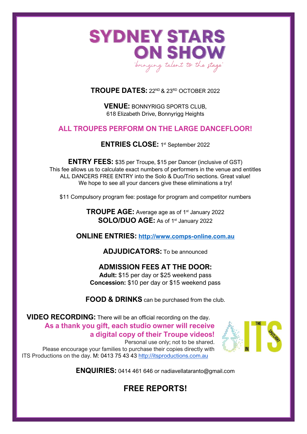

#### **TROUPE DATES:** 22<sup>ND</sup> & 23<sup>RD</sup> OCTOBER 2022

**VENUE:** BONNYRIGG SPORTS CLUB, 618 Elizabeth Drive, Bonnyrigg Heights

#### **ALL TROUPES PERFORM ON THE LARGE DANCEFLOOR!**

ENTRIES CLOSE: 1st September 2022

**ENTRY FEES:** \$35 per Troupe, \$15 per Dancer (inclusive of GST) This fee allows us to calculate exact numbers of performers in the venue and entitles ALL DANCERS FREE ENTRY into the Solo & Duo/Trio sections. Great value! We hope to see all your dancers give these eliminations a try!

\$11 Compulsory program fee: postage for program and competitor numbers

**TROUPE AGE:** Average age as of 1<sup>st</sup> January 2022 **SOLO/DUO AGE:** As of 1<sup>st</sup> January 2022

**ONLINE ENTRIES: [http://www.comps-online.com.au](http://www.comps-online.com.au/)**

**ADJUDICATORS:** To be announced

#### **ADMISSION FEES AT THE DOOR:**

**Adult:** \$15 per day or \$25 weekend pass **Concession:** \$10 per day or \$15 weekend pass

**FOOD & DRINKS** can be purchased from the club.

**VIDEO RECORDING:** There will be an official recording on the day. **As a thank you gift, each studio owner will receive a digital copy of their Troupe videos!**  Personal use only; not to be shared.

Please encourage your families to purchase their copies directly with ITS Productions on the day. M: 0413 75 43 43 [http://itsproductions.com.au](http://itsproductions.com.au/)



**ENQUIRIES:** 0414 461 646 or nadiavellataranto@gmail.com

## **FREE REPORTS!**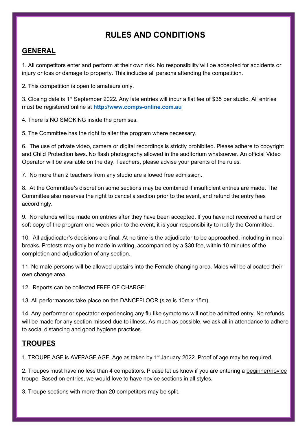## **RULES AND CONDITIONS**

#### **GENERAL**

1. All competitors enter and perform at their own risk. No responsibility will be accepted for accidents or injury or loss or damage to property. This includes all persons attending the competition.

2. This competition is open to amateurs only.

3. Closing date is 1<sup>st</sup> September 2022. Any late entries will incur a flat fee of \$35 per studio. All entries must be registered online at **[http://www.comps-online.com.au](http://www.comps-online.com.au/)**

4. There is NO SMOKING inside the premises.

5. The Committee has the right to alter the program where necessary.

6. The use of private video, camera or digital recordings is strictly prohibited. Please adhere to copyright and Child Protection laws. No flash photography allowed in the auditorium whatsoever. An official Video Operator will be available on the day. Teachers, please advise your parents of the rules.

7. No more than 2 teachers from any studio are allowed free admission.

8. At the Committee's discretion some sections may be combined if insufficient entries are made. The Committee also reserves the right to cancel a section prior to the event, and refund the entry fees accordingly.

9. No refunds will be made on entries after they have been accepted. If you have not received a hard or soft copy of the program one week prior to the event, it is your responsibility to notify the Committee.

10. All adjudicator's decisions are final. At no time is the adjudicator to be approached, including in meal breaks. Protests may only be made in writing, accompanied by a \$30 fee, within 10 minutes of the completion and adjudication of any section.

11. No male persons will be allowed upstairs into the Female changing area. Males will be allocated their own change area.

12. Reports can be collected FREE OF CHARGE!

13. All performances take place on the DANCEFLOOR (size is 10m x 15m).

14. Any performer or spectator experiencing any flu like symptoms will not be admitted entry. No refunds will be made for any section missed due to illness. As much as possible, we ask all in attendance to adhere to social distancing and good hygiene practises.

#### **TROUPES**

1. TROUPE AGE is AVERAGE AGE. Age as taken by 1<sup>st</sup> January 2022. Proof of age may be required.

2. Troupes must have no less than 4 competitors. Please let us know if you are entering a beginner/novice troupe. Based on entries, we would love to have novice sections in all styles.

3. Troupe sections with more than 20 competitors may be split.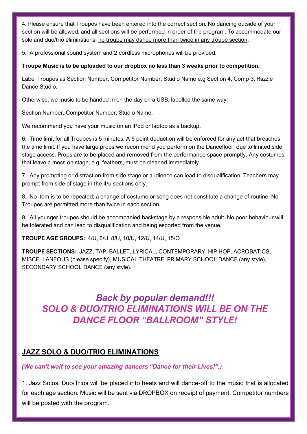4. Please ensure that Troupes have been entered into the correct section. No dancing outside of your section will be allowed; and all sections will be performed in order of the program. To accommodate our solo and duo/trio eliminations, no troupe may dance more than twice in any troupe section.

5. A professional sound system and 2 cordless microphones will be provided.

#### **Troupe Music is to be uploaded to our dropbox no less than 3 weeks prior to competition.**

Label Troupes as Section Number, Competitor Number, Studio Name e.g Section 4, Comp 3, Razzle Dance Studio.

Otherwise, we music to be handed in on the day on a USB, labelled the same way:

Section Number, Competitor Number, Studio Name.

We recommend you have your music on an iPod or laptop as a backup.

6. Time limit for all Troupes is 5 minutes. A 5 point deduction will be enforced for any act that breaches the time limit. If you have large props we recommend you perform on the Dancefloor, due to limited side stage access. Props are to be placed and removed from the performance space promptly. Any costumes that leave a mess on stage, e.g. feathers, must be cleaned immediately.

7. Any prompting or distraction from side stage or audience can lead to disqualification. Teachers may prompt from side of stage in the 4/u sections only.

8. No item is to be repeated; a change of costume or song does not constitute a change of routine. No Troupes are permitted more than twice in each section.

9. All younger troupes should be accompanied backstage by a responsible adult. No poor behaviour will be tolerated and can lead to disqualification and being escorted from the venue.

#### **TROUPE AGE GROUPS:** 4/U, 6/U, 8/U, 10/U, 12/U, 14/U, 15/O

**TROUPE SECTIONS:** JAZZ, TAP, BALLET, LYRICAL, CONTEMPORARY, HIP HOP, ACROBATICS, MISCELLANEOUS (please specify), MUSICAL THEATRE, PRIMARY SCHOOL DANCE (any style), SECONDARY SCHOOL DANCE (any style).

## *Back by popular demand!!! SOLO & DUO/TRIO ELIMINATIONS WILL BE ON THE DANCE FLOOR "BALLROOM" STYLE!*

### **JAZZ SOLO & DUO/TRIO ELIMINATIONS**

#### *(We can't wait to see your amazing dancers "Dance for their Lives!".)*

1. Jazz Solos, Duo/Trios will be placed into heats and will dance-off to the music that is allocated for each age section. Music will be sent via DROPBOX on receipt of payment. Competitor numbers will be posted with the program.